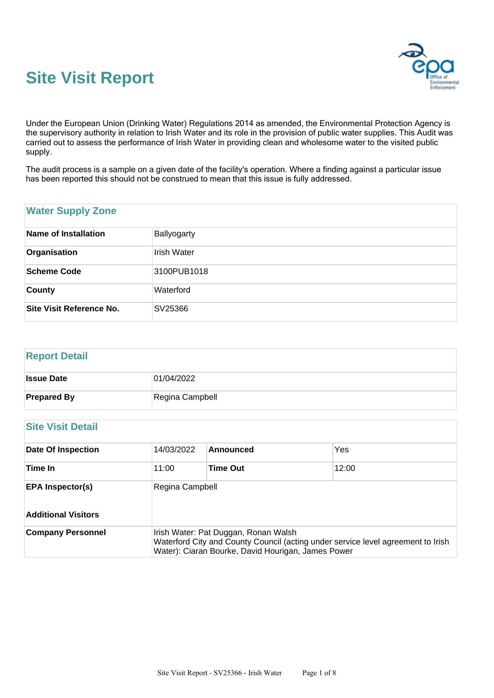



Under the European Union (Drinking Water) Regulations 2014 as amended, the Environmental Protection Agency is the supervisory authority in relation to Irish Water and its role in the provision of public water supplies. This Audit was carried out to assess the performance of Irish Water in providing clean and wholesome water to the visited public supply.

The audit process is a sample on a given date of the facility's operation. Where a finding against a particular issue has been reported this should not be construed to mean that this issue is fully addressed.

## **Water Supply Zone**

| Name of Installation     | Ballyogarty        |
|--------------------------|--------------------|
| Organisation             | <b>Irish Water</b> |
| Scheme Code              | 3100PUB1018        |
| <b>County</b>            | Waterford          |
| Site Visit Reference No. | SV25366            |

#### **Report Detail**

| <b>Issue Date</b>  | 01/04/2022      |
|--------------------|-----------------|
| <b>Prepared By</b> | Regina Campbell |

## **Site Visit Detail**

| <b>Date Of Inspection</b>  | 14/03/2022      | Announced                                                                                                                                                                      | Yes   |
|----------------------------|-----------------|--------------------------------------------------------------------------------------------------------------------------------------------------------------------------------|-------|
| Time In                    | 11:00           | <b>Time Out</b>                                                                                                                                                                | 12:00 |
| <b>EPA Inspector(s)</b>    | Regina Campbell |                                                                                                                                                                                |       |
| <b>Additional Visitors</b> |                 |                                                                                                                                                                                |       |
| <b>Company Personnel</b>   |                 | Irish Water: Pat Duggan, Ronan Walsh<br>Waterford City and County Council (acting under service level agreement to Irish<br>Water): Ciaran Bourke, David Hourigan, James Power |       |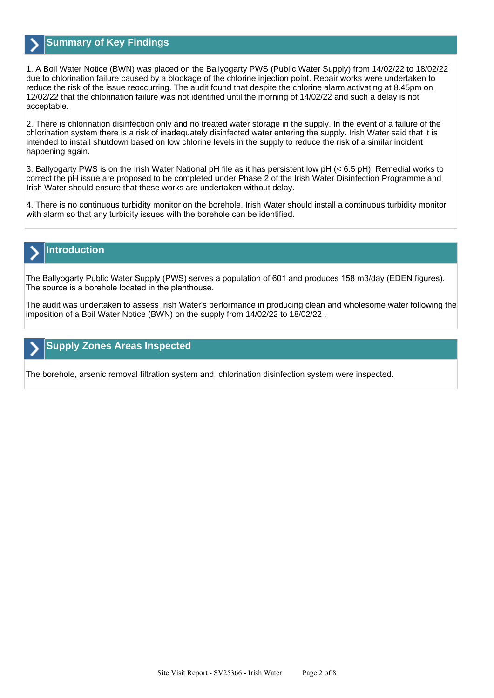

## **Summary of Key Findings**

1. A Boil Water Notice (BWN) was placed on the Ballyogarty PWS (Public Water Supply) from 14/02/22 to 18/02/22 due to chlorination failure caused by a blockage of the chlorine injection point. Repair works were undertaken to reduce the risk of the issue reoccurring. The audit found that despite the chlorine alarm activating at 8.45pm on 12/02/22 that the chlorination failure was not identified until the morning of 14/02/22 and such a delay is not acceptable.

2. There is chlorination disinfection only and no treated water storage in the supply. In the event of a failure of the chlorination system there is a risk of inadequately disinfected water entering the supply. Irish Water said that it is intended to install shutdown based on low chlorine levels in the supply to reduce the risk of a similar incident happening again.

3. Ballyogarty PWS is on the Irish Water National pH file as it has persistent low pH (< 6.5 pH). Remedial works to correct the pH issue are proposed to be completed under Phase 2 of the Irish Water Disinfection Programme and Irish Water should ensure that these works are undertaken without delay.

4. There is no continuous turbidity monitor on the borehole. Irish Water should install a continuous turbidity monitor with alarm so that any turbidity issues with the borehole can be identified.

# **Introduction**

The Ballyogarty Public Water Supply (PWS) serves a population of 601 and produces 158 m3/day (EDEN figures). The source is a borehole located in the planthouse.

The audit was undertaken to assess Irish Water's performance in producing clean and wholesome water following the imposition of a Boil Water Notice (BWN) on the supply from 14/02/22 to 18/02/22 .

## **Supply Zones Areas Inspected**

The borehole, arsenic removal filtration system and chlorination disinfection system were inspected.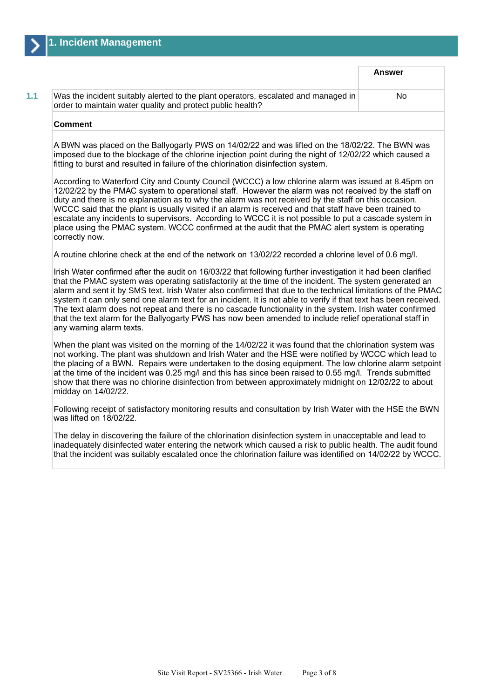|                                                                                                                                                  | <b>Answer</b> |
|--------------------------------------------------------------------------------------------------------------------------------------------------|---------------|
| Was the incident suitably alerted to the plant operators, escalated and managed in<br>order to maintain water quality and protect public health? | No            |
| <b>Comment</b>                                                                                                                                   |               |

A BWN was placed on the Ballyogarty PWS on 14/02/22 and was lifted on the 18/02/22. The BWN was imposed due to the blockage of the chlorine injection point during the night of 12/02/22 which caused a fitting to burst and resulted in failure of the chlorination disinfection system.

According to Waterford City and County Council (WCCC) a low chlorine alarm was issued at 8.45pm on 12/02/22 by the PMAC system to operational staff. However the alarm was not received by the staff on duty and there is no explanation as to why the alarm was not received by the staff on this occasion. WCCC said that the plant is usually visited if an alarm is received and that staff have been trained to escalate any incidents to supervisors. According to WCCC it is not possible to put a cascade system in place using the PMAC system. WCCC confirmed at the audit that the PMAC alert system is operating correctly now.

A routine chlorine check at the end of the network on 13/02/22 recorded a chlorine level of 0.6 mg/l.

Irish Water confirmed after the audit on 16/03/22 that following further investigation it had been clarified that the PMAC system was operating satisfactorily at the time of the incident. The system generated an alarm and sent it by SMS text. Irish Water also confirmed that due to the technical limitations of the PMAC system it can only send one alarm text for an incident. It is not able to verify if that text has been received. The text alarm does not repeat and there is no cascade functionality in the system. Irish water confirmed that the text alarm for the Ballyogarty PWS has now been amended to include relief operational staff in any warning alarm texts.

When the plant was visited on the morning of the 14/02/22 it was found that the chlorination system was not working. The plant was shutdown and Irish Water and the HSE were notified by WCCC which lead to the placing of a BWN. Repairs were undertaken to the dosing equipment. The low chlorine alarm setpoint at the time of the incident was 0.25 mg/l and this has since been raised to 0.55 mg/l. Trends submitted show that there was no chlorine disinfection from between approximately midnight on 12/02/22 to about midday on 14/02/22.

Following receipt of satisfactory monitoring results and consultation by Irish Water with the HSE the BWN was lifted on 18/02/22.

The delay in discovering the failure of the chlorination disinfection system in unacceptable and lead to inadequately disinfected water entering the network which caused a risk to public health. The audit found that the incident was suitably escalated once the chlorination failure was identified on 14/02/22 by WCCC.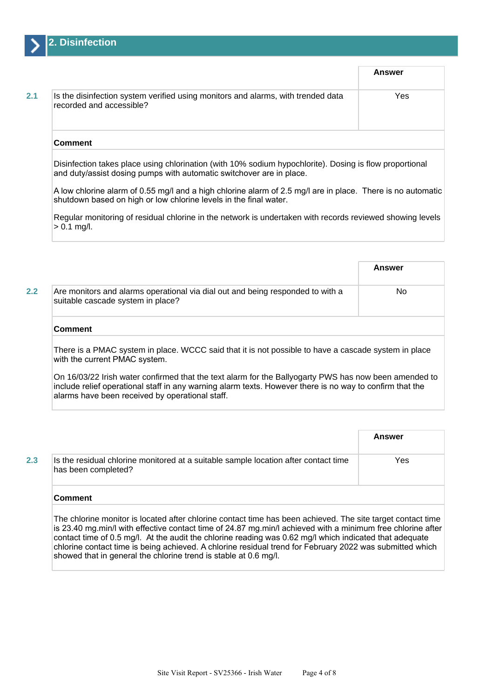

|                                                                                                              | Answer |
|--------------------------------------------------------------------------------------------------------------|--------|
| Is the disinfection system verified using monitors and alarms, with trended data<br>recorded and accessible? | Yes    |
| <b>Comment</b>                                                                                               |        |

Disinfection takes place using chlorination (with 10% sodium hypochlorite). Dosing is flow proportional and duty/assist dosing pumps with automatic switchover are in place.

A low chlorine alarm of 0.55 mg/l and a high chlorine alarm of 2.5 mg/l are in place. There is no automatic shutdown based on high or low chlorine levels in the final water.

Regular monitoring of residual chlorine in the network is undertaken with records reviewed showing levels  $> 0.1$  mg/l.

|     |                                                                                                                     | Answer |
|-----|---------------------------------------------------------------------------------------------------------------------|--------|
| 2.2 | Are monitors and alarms operational via dial out and being responded to with a<br>suitable cascade system in place? | No     |
|     | <b>Comment</b>                                                                                                      |        |

There is a PMAC system in place. WCCC said that it is not possible to have a cascade system in place with the current PMAC system.

On 16/03/22 Irish water confirmed that the text alarm for the Ballyogarty PWS has now been amended to include relief operational staff in any warning alarm texts. However there is no way to confirm that the alarms have been received by operational staff.

|     |                                                                                                            | Answer |
|-----|------------------------------------------------------------------------------------------------------------|--------|
| 2.3 | Is the residual chlorine monitored at a suitable sample location after contact time<br>has been completed? | Yes    |
|     | Comment                                                                                                    |        |

The chlorine monitor is located after chlorine contact time has been achieved. The site target contact time is 23.40 mg.min/l with effective contact time of 24.87 mg.min/l achieved with a minimum free chlorine after contact time of 0.5 mg/l. At the audit the chlorine reading was 0.62 mg/l which indicated that adequate chlorine contact time is being achieved. A chlorine residual trend for February 2022 was submitted which showed that in general the chlorine trend is stable at 0.6 mg/l.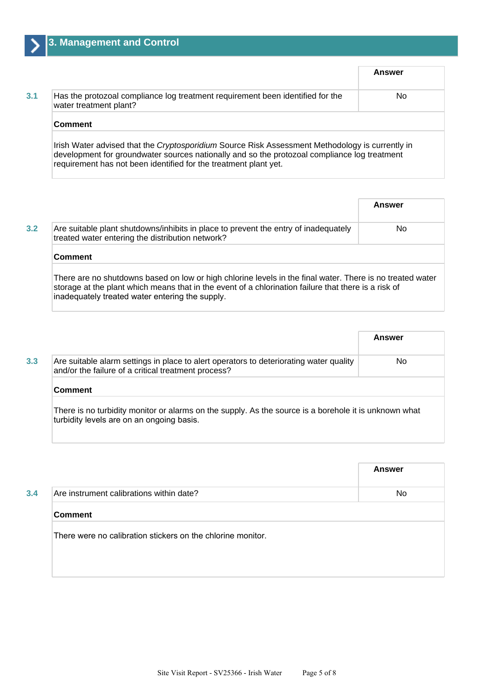| Has the protozoal compliance log treatment requirement been identified for the<br>water treatment plant? | No. |
|----------------------------------------------------------------------------------------------------------|-----|
| <b>Comment</b>                                                                                           |     |

requirement has not been identified for the treatment plant yet.

|                                                                                                                                                                                                                                                                      | Answer |
|----------------------------------------------------------------------------------------------------------------------------------------------------------------------------------------------------------------------------------------------------------------------|--------|
| Are suitable plant shutdowns/inhibits in place to prevent the entry of inadequately<br>treated water entering the distribution network?                                                                                                                              | No.    |
| <b>Comment</b>                                                                                                                                                                                                                                                       |        |
| There are no shutdowns based on low or high chlorine levels in the final water. There is no treated water<br>storage at the plant which means that in the event of a chlorination failure that there is a risk of<br>inadequately treated water entering the supply. |        |

|                                                                                                                                                    | Answer |
|----------------------------------------------------------------------------------------------------------------------------------------------------|--------|
| Are suitable alarm settings in place to alert operators to deteriorating water quality<br>and/or the failure of a critical treatment process?      | No.    |
| <b>Comment</b>                                                                                                                                     |        |
| There is no turbidity monitor or alarms on the supply. As the source is a borehole it is unknown what<br>turbidity levels are on an ongoing basis. |        |

|                                                             | <b>Answer</b> |
|-------------------------------------------------------------|---------------|
| Are instrument calibrations within date?                    | No.           |
| <b>Comment</b>                                              |               |
| There were no calibration stickers on the chlorine monitor. |               |
|                                                             |               |
|                                                             |               |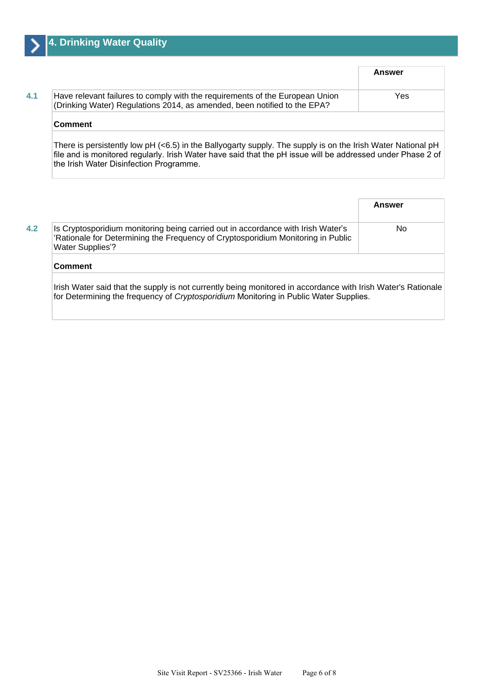|                                                                                                                                                          | Answer |
|----------------------------------------------------------------------------------------------------------------------------------------------------------|--------|
| Have relevant failures to comply with the requirements of the European Union<br>(Drinking Water) Regulations 2014, as amended, been notified to the EPA? | Yes    |
| <b>Comment</b>                                                                                                                                           |        |

There is persistently low pH (<6.5) in the Ballyogarty supply. The supply is on the Irish Water National pH file and is monitored regularly. Irish Water have said that the pH issue will be addressed under Phase 2 of the Irish Water Disinfection Programme.

**Answer 4.2 Is Cryptosporidium monitoring being carried out in accordance with Irish Water's** 'Rationale for Determining the Frequency of Cryptosporidium Monitoring in Public Water Supplies'? No **Comment** Irish Water said that the supply is not currently being monitored in accordance with Irish Water's Rationale for Determining the frequency of Cryptosporidium Monitoring in Public Water Supplies.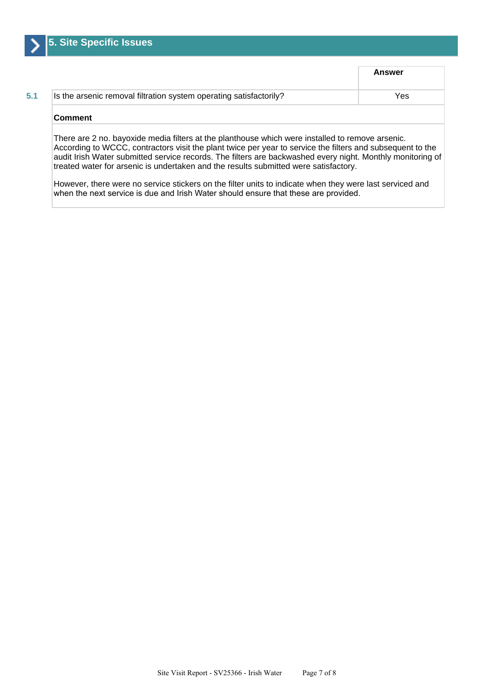

|                                                                    | <b>Answer</b> |
|--------------------------------------------------------------------|---------------|
| Is the arsenic removal filtration system operating satisfactorily? | Yes           |
| Comment                                                            |               |

According to WCCC, contractors visit the plant twice per year to service the filters and subsequent to the audit Irish Water submitted service records. The filters are backwashed every night. Monthly monitoring of treated water for arsenic is undertaken and the results submitted were satisfactory.

However, there were no service stickers on the filter units to indicate when they were last serviced and when the next service is due and Irish Water should ensure that these are provided.